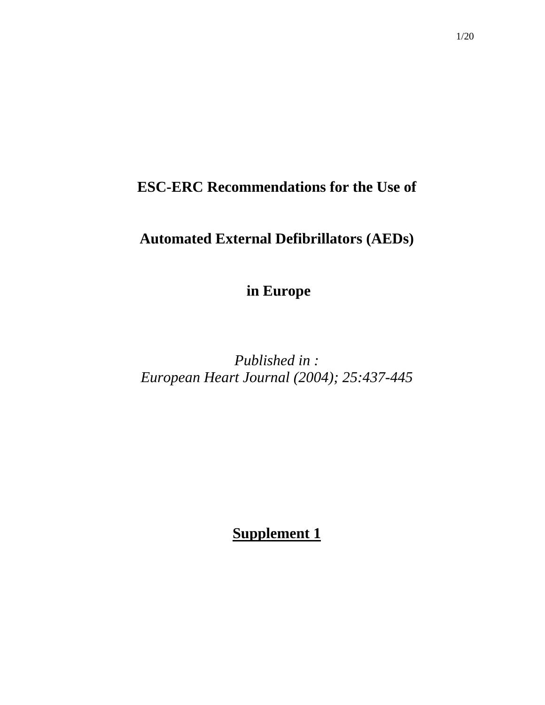# **ESC-ERC Recommendations for the Use of**

# **Automated External Defibrillators (AEDs)**

 **in Europe** 

*Published in : European Heart Journal (2004); 25:437-445* 

**Supplement 1**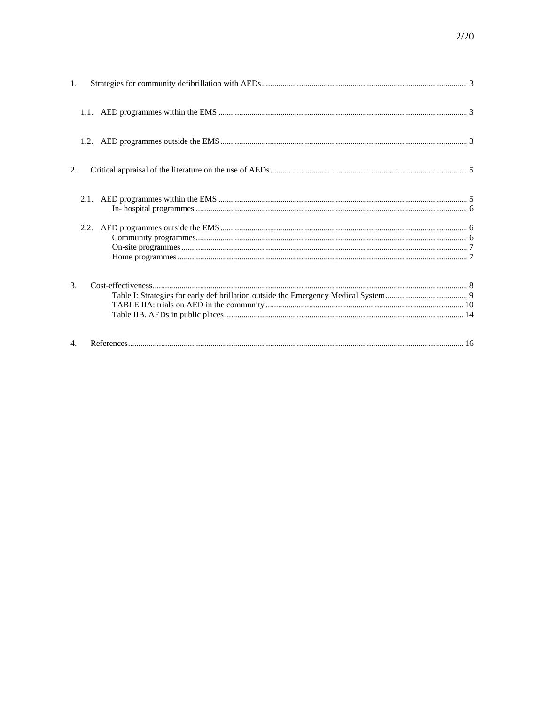| $\mathbf{1}$ . |      |  |
|----------------|------|--|
|                |      |  |
|                |      |  |
| 2.             |      |  |
|                | 2.1. |  |
|                | 2.2. |  |
| 3.             |      |  |
| 4.             |      |  |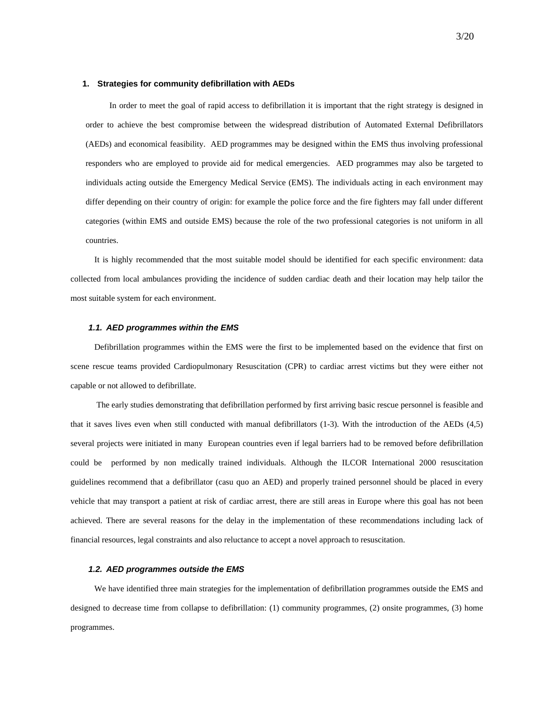#### **1. Strategies for community defibrillation with AEDs**

In order to meet the goal of rapid access to defibrillation it is important that the right strategy is designed in order to achieve the best compromise between the widespread distribution of Automated External Defibrillators (AEDs) and economical feasibility. AED programmes may be designed within the EMS thus involving professional responders who are employed to provide aid for medical emergencies. AED programmes may also be targeted to individuals acting outside the Emergency Medical Service (EMS). The individuals acting in each environment may differ depending on their country of origin: for example the police force and the fire fighters may fall under different categories (within EMS and outside EMS) because the role of the two professional categories is not uniform in all countries.

It is highly recommended that the most suitable model should be identified for each specific environment: data collected from local ambulances providing the incidence of sudden cardiac death and their location may help tailor the most suitable system for each environment.

#### *1.1. AED programmes within the EMS*

Defibrillation programmes within the EMS were the first to be implemented based on the evidence that first on scene rescue teams provided Cardiopulmonary Resuscitation (CPR) to cardiac arrest victims but they were either not capable or not allowed to defibrillate.

 The early studies demonstrating that defibrillation performed by first arriving basic rescue personnel is feasible and that it saves lives even when still conducted with manual defibrillators (1-3). With the introduction of the AEDs (4,5) several projects were initiated in many European countries even if legal barriers had to be removed before defibrillation could be performed by non medically trained individuals. Although the ILCOR International 2000 resuscitation guidelines recommend that a defibrillator (casu quo an AED) and properly trained personnel should be placed in every vehicle that may transport a patient at risk of cardiac arrest, there are still areas in Europe where this goal has not been achieved. There are several reasons for the delay in the implementation of these recommendations including lack of financial resources, legal constraints and also reluctance to accept a novel approach to resuscitation.

### *1.2. AED programmes outside the EMS*

We have identified three main strategies for the implementation of defibrillation programmes outside the EMS and designed to decrease time from collapse to defibrillation: (1) community programmes, (2) onsite programmes, (3) home programmes.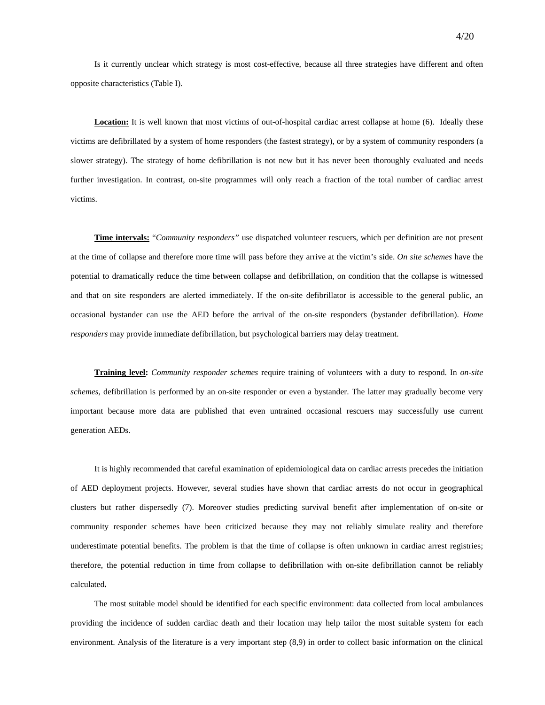Is it currently unclear which strategy is most cost-effective, because all three strategies have different and often opposite characteristics (Table I).

**Location:** It is well known that most victims of out-of-hospital cardiac arrest collapse at home (6). Ideally these victims are defibrillated by a system of home responders (the fastest strategy), or by a system of community responders (a slower strategy). The strategy of home defibrillation is not new but it has never been thoroughly evaluated and needs further investigation. In contrast, on-site programmes will only reach a fraction of the total number of cardiac arrest victims.

**Time intervals:** "*Community responders"* use dispatched volunteer rescuers, which per definition are not present at the time of collapse and therefore more time will pass before they arrive at the victim's side. *On site schemes* have the potential to dramatically reduce the time between collapse and defibrillation, on condition that the collapse is witnessed and that on site responders are alerted immediately. If the on-site defibrillator is accessible to the general public, an occasional bystander can use the AED before the arrival of the on-site responders (bystander defibrillation). *Home responders* may provide immediate defibrillation, but psychological barriers may delay treatment.

**Training level:** *Community responder schemes* require training of volunteers with a duty to respond. In *on-site schemes*, defibrillation is performed by an on-site responder or even a bystander. The latter may gradually become very important because more data are published that even untrained occasional rescuers may successfully use current generation AEDs.

It is highly recommended that careful examination of epidemiological data on cardiac arrests precedes the initiation of AED deployment projects. However, several studies have shown that cardiac arrests do not occur in geographical clusters but rather dispersedly (7). Moreover studies predicting survival benefit after implementation of on-site or community responder schemes have been criticized because they may not reliably simulate reality and therefore underestimate potential benefits. The problem is that the time of collapse is often unknown in cardiac arrest registries; therefore, the potential reduction in time from collapse to defibrillation with on-site defibrillation cannot be reliably calculated**.**

The most suitable model should be identified for each specific environment: data collected from local ambulances providing the incidence of sudden cardiac death and their location may help tailor the most suitable system for each environment. Analysis of the literature is a very important step (8,9) in order to collect basic information on the clinical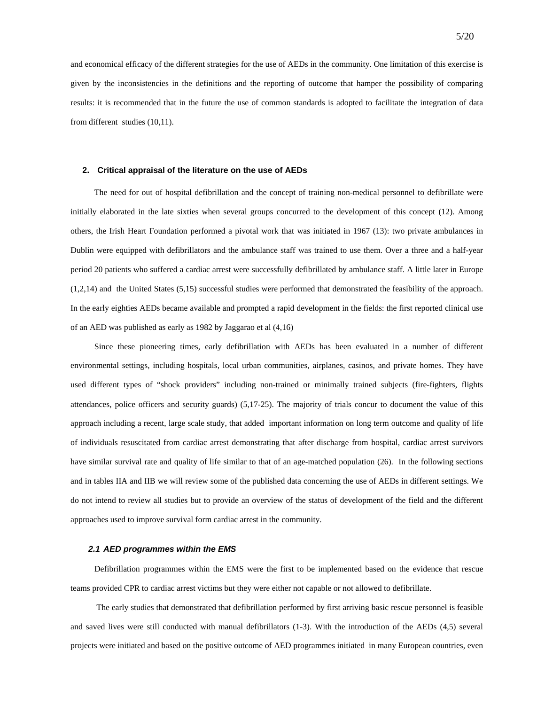and economical efficacy of the different strategies for the use of AEDs in the community. One limitation of this exercise is given by the inconsistencies in the definitions and the reporting of outcome that hamper the possibility of comparing results: it is recommended that in the future the use of common standards is adopted to facilitate the integration of data from different studies (10,11).

#### **2. Critical appraisal of the literature on the use of AEDs**

The need for out of hospital defibrillation and the concept of training non-medical personnel to defibrillate were initially elaborated in the late sixties when several groups concurred to the development of this concept (12). Among others, the Irish Heart Foundation performed a pivotal work that was initiated in 1967 (13): two private ambulances in Dublin were equipped with defibrillators and the ambulance staff was trained to use them. Over a three and a half-year period 20 patients who suffered a cardiac arrest were successfully defibrillated by ambulance staff. A little later in Europe (1,2,14) and the United States (5,15) successful studies were performed that demonstrated the feasibility of the approach. In the early eighties AEDs became available and prompted a rapid development in the fields: the first reported clinical use of an AED was published as early as 1982 by Jaggarao et al (4,16)

Since these pioneering times, early defibrillation with AEDs has been evaluated in a number of different environmental settings, including hospitals, local urban communities, airplanes, casinos, and private homes. They have used different types of "shock providers" including non-trained or minimally trained subjects (fire-fighters, flights attendances, police officers and security guards) (5,17-25). The majority of trials concur to document the value of this approach including a recent, large scale study, that added important information on long term outcome and quality of life of individuals resuscitated from cardiac arrest demonstrating that after discharge from hospital, cardiac arrest survivors have similar survival rate and quality of life similar to that of an age-matched population (26). In the following sections and in tables IIA and IIB we will review some of the published data concerning the use of AEDs in different settings. We do not intend to review all studies but to provide an overview of the status of development of the field and the different approaches used to improve survival form cardiac arrest in the community.

#### *2.1 AED programmes within the EMS*

Defibrillation programmes within the EMS were the first to be implemented based on the evidence that rescue teams provided CPR to cardiac arrest victims but they were either not capable or not allowed to defibrillate.

 The early studies that demonstrated that defibrillation performed by first arriving basic rescue personnel is feasible and saved lives were still conducted with manual defibrillators (1-3). With the introduction of the AEDs (4,5) several projects were initiated and based on the positive outcome of AED programmes initiated in many European countries, even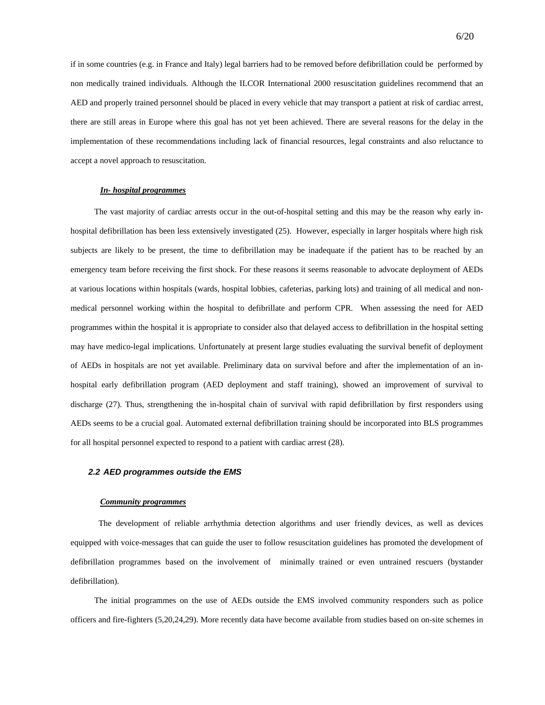if in some countries (e.g. in France and Italy) legal barriers had to be removed before defibrillation could be performed by non medically trained individuals. Although the ILCOR International 2000 resuscitation guidelines recommend that an AED and properly trained personnel should be placed in every vehicle that may transport a patient at risk of cardiac arrest, there are still areas in Europe where this goal has not yet been achieved. There are several reasons for the delay in the implementation of these recommendations including lack of financial resources, legal constraints and also reluctance to accept a novel approach to resuscitation.

### *In- hospital programmes*

The vast majority of cardiac arrests occur in the out-of-hospital setting and this may be the reason why early inhospital defibrillation has been less extensively investigated (25). However, especially in larger hospitals where high risk subjects are likely to be present, the time to defibrillation may be inadequate if the patient has to be reached by an emergency team before receiving the first shock. For these reasons it seems reasonable to advocate deployment of AEDs at various locations within hospitals (wards, hospital lobbies, cafeterias, parking lots) and training of all medical and nonmedical personnel working within the hospital to defibrillate and perform CPR. When assessing the need for AED programmes within the hospital it is appropriate to consider also that delayed access to defibrillation in the hospital setting may have medico-legal implications. Unfortunately at present large studies evaluating the survival benefit of deployment of AEDs in hospitals are not yet available. Preliminary data on survival before and after the implementation of an inhospital early defibrillation program (AED deployment and staff training), showed an improvement of survival to discharge (27). Thus, strengthening the in-hospital chain of survival with rapid defibrillation by first responders using AEDs seems to be a crucial goal. Automated external defibrillation training should be incorporated into BLS programmes for all hospital personnel expected to respond to a patient with cardiac arrest (28).

#### *2.2 AED programmes outside the EMS*

#### *Community programmes*

 The development of reliable arrhythmia detection algorithms and user friendly devices, as well as devices equipped with voice-messages that can guide the user to follow resuscitation guidelines has promoted the development of defibrillation programmes based on the involvement of minimally trained or even untrained rescuers (bystander defibrillation).

The initial programmes on the use of AEDs outside the EMS involved community responders such as police officers and fire-fighters (5,20,24,29). More recently data have become available from studies based on on-site schemes in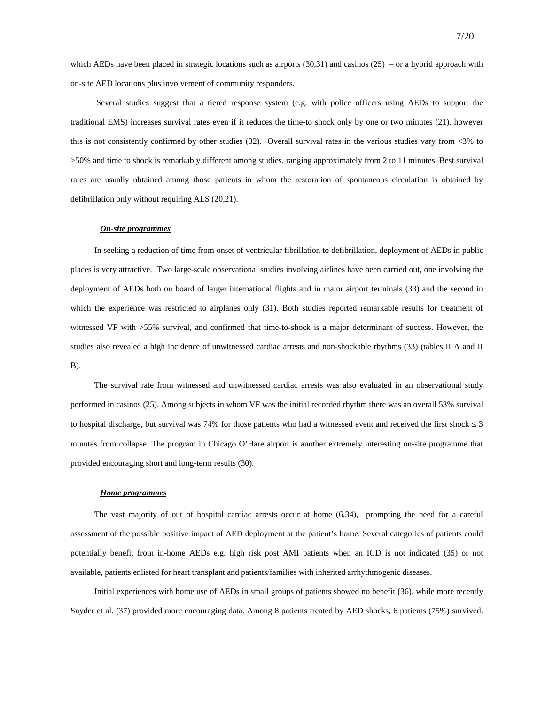which AEDs have been placed in strategic locations such as airports  $(30,31)$  and casinos  $(25)$  – or a hybrid approach with on-site AED locations plus involvement of community responders.

 Several studies suggest that a tiered response system (e.g. with police officers using AEDs to support the traditional EMS) increases survival rates even if it reduces the time-to shock only by one or two minutes (21), however this is not consistently confirmed by other studies (32). Overall survival rates in the various studies vary from <3% to >50% and time to shock is remarkably different among studies, ranging approximately from 2 to 11 minutes. Best survival rates are usually obtained among those patients in whom the restoration of spontaneous circulation is obtained by defibrillation only without requiring ALS (20,21).

#### *On-site programmes*

In seeking a reduction of time from onset of ventricular fibrillation to defibrillation, deployment of AEDs in public places is very attractive. Two large-scale observational studies involving airlines have been carried out, one involving the deployment of AEDs both on board of larger international flights and in major airport terminals (33) and the second in which the experience was restricted to airplanes only (31). Both studies reported remarkable results for treatment of witnessed VF with >55% survival, and confirmed that time-to-shock is a major determinant of success. However, the studies also revealed a high incidence of unwitnessed cardiac arrests and non-shockable rhythms (33) (tables II A and II B).

The survival rate from witnessed and unwitnessed cardiac arrests was also evaluated in an observational study performed in casinos (25). Among subjects in whom VF was the initial recorded rhythm there was an overall 53% survival to hospital discharge, but survival was 74% for those patients who had a witnessed event and received the first shock  $\leq$  3 minutes from collapse. The program in Chicago O'Hare airport is another extremely interesting on-site programme that provided encouraging short and long-term results (30).

#### *Home programmes*

The vast majority of out of hospital cardiac arrests occur at home (6,34), prompting the need for a careful assessment of the possible positive impact of AED deployment at the patient's home. Several categories of patients could potentially benefit from in-home AEDs e.g. high risk post AMI patients when an ICD is not indicated (35) or not available, patients enlisted for heart transplant and patients/families with inherited arrhythmogenic diseases.

Initial experiences with home use of AEDs in small groups of patients showed no benefit (36), while more recently Snyder et al. (37) provided more encouraging data. Among 8 patients treated by AED shocks, 6 patients (75%) survived.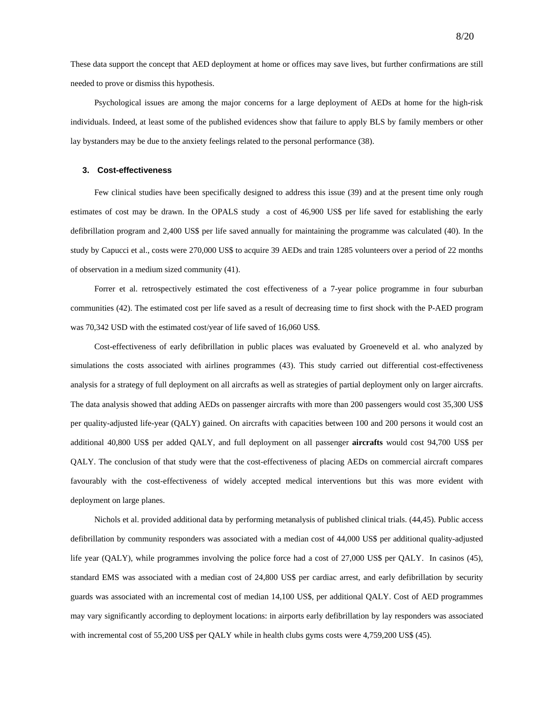These data support the concept that AED deployment at home or offices may save lives, but further confirmations are still needed to prove or dismiss this hypothesis.

Psychological issues are among the major concerns for a large deployment of AEDs at home for the high-risk individuals. Indeed, at least some of the published evidences show that failure to apply BLS by family members or other lay bystanders may be due to the anxiety feelings related to the personal performance (38).

#### **3. Cost-effectiveness**

Few clinical studies have been specifically designed to address this issue (39) and at the present time only rough estimates of cost may be drawn. In the OPALS study a cost of 46,900 US\$ per life saved for establishing the early defibrillation program and 2,400 US\$ per life saved annually for maintaining the programme was calculated (40). In the study by Capucci et al., costs were 270,000 US\$ to acquire 39 AEDs and train 1285 volunteers over a period of 22 months of observation in a medium sized community (41).

Forrer et al. retrospectively estimated the cost effectiveness of a 7-year police programme in four suburban communities (42). The estimated cost per life saved as a result of decreasing time to first shock with the P-AED program was 70,342 USD with the estimated cost/year of life saved of 16,060 US\$.

Cost-effectiveness of early defibrillation in public places was evaluated by Groeneveld et al. who analyzed by simulations the costs associated with airlines programmes (43). This study carried out differential cost-effectiveness analysis for a strategy of full deployment on all aircrafts as well as strategies of partial deployment only on larger aircrafts. The data analysis showed that adding AEDs on passenger aircrafts with more than 200 passengers would cost 35,300 US\$ per quality-adjusted life-year (QALY) gained. On aircrafts with capacities between 100 and 200 persons it would cost an additional 40,800 US\$ per added QALY, and full deployment on all passenger **aircrafts** would cost 94,700 US\$ per QALY. The conclusion of that study were that the cost-effectiveness of placing AEDs on commercial aircraft compares favourably with the cost-effectiveness of widely accepted medical interventions but this was more evident with deployment on large planes.

Nichols et al. provided additional data by performing metanalysis of published clinical trials. (44,45). Public access defibrillation by community responders was associated with a median cost of 44,000 US\$ per additional quality-adjusted life year (QALY), while programmes involving the police force had a cost of 27,000 US\$ per QALY. In casinos (45), standard EMS was associated with a median cost of 24,800 US\$ per cardiac arrest, and early defibrillation by security guards was associated with an incremental cost of median 14,100 US\$, per additional QALY. Cost of AED programmes may vary significantly according to deployment locations: in airports early defibrillation by lay responders was associated with incremental cost of 55,200 US\$ per QALY while in health clubs gyms costs were 4,759,200 US\$ (45).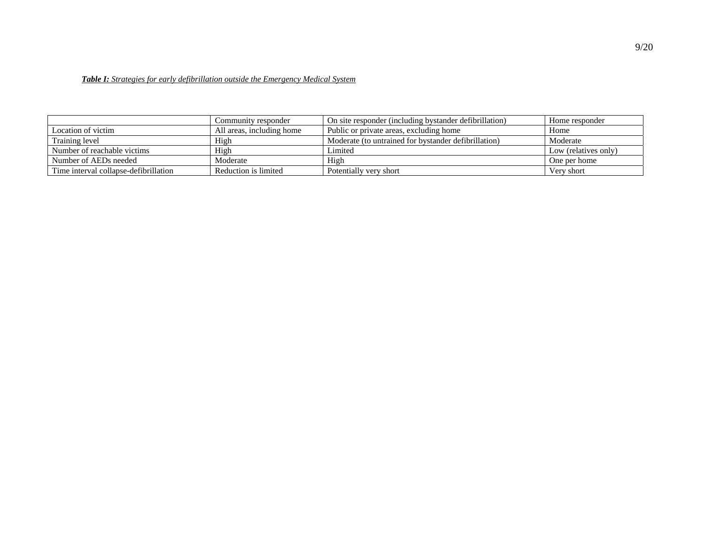# *Table I: Strategies for early defibrillation outside the Emergency Medical System*

|                                       | Community responder       | On site responder (including by stander defibrillation) | Home responder       |
|---------------------------------------|---------------------------|---------------------------------------------------------|----------------------|
| Location of victim                    | All areas, including home | Public or private areas, excluding home                 | Home                 |
| Training level                        | High                      | Moderate (to untrained for bystander defibrillation)    | Moderate             |
| Number of reachable victims           | High                      | Limited                                                 | Low (relatives only) |
| Number of AEDs needed                 | Moderate                  | High                                                    | One per home         |
| Time interval collapse-defibrillation | Reduction is limited      | Potentially very short                                  | Very short           |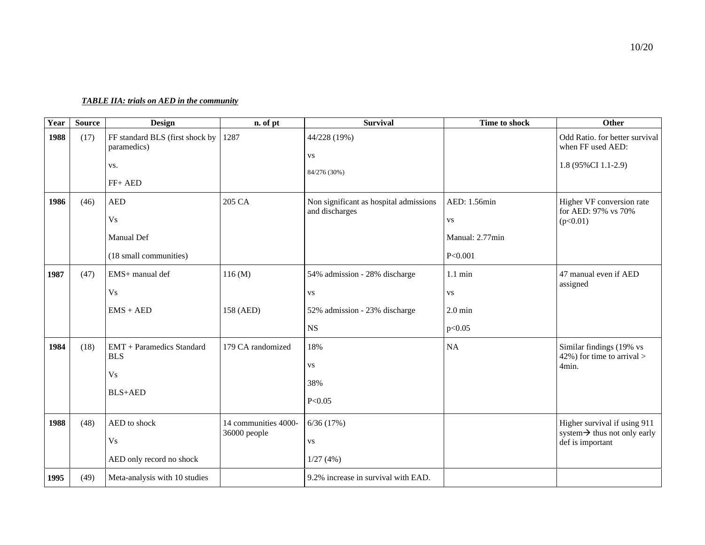# *TABLE IIA: trials on AED in the community*

| Year | <b>Source</b> | <b>Design</b>                                  | n. of pt             | <b>Survival</b>                                          | Time to shock     | <b>Other</b>                                                 |
|------|---------------|------------------------------------------------|----------------------|----------------------------------------------------------|-------------------|--------------------------------------------------------------|
| 1988 | (17)          | FF standard BLS (first shock by<br>paramedics) | 1287                 | 44/228 (19%)<br><b>VS</b>                                |                   | Odd Ratio. for better survival<br>when FF used AED:          |
|      |               | VS.                                            |                      | 84/276 (30%)                                             |                   | 1.8 (95%CI 1.1-2.9)                                          |
|      |               | FF+ AED                                        |                      |                                                          |                   |                                                              |
| 1986 | (46)          | <b>AED</b>                                     | 205 CA               | Non significant as hospital admissions<br>and discharges | AED: 1.56min      | Higher VF conversion rate<br>for AED: 97% vs 70%             |
|      |               | <b>Vs</b>                                      |                      |                                                          | <b>VS</b>         | (p<0.01)                                                     |
|      |               | Manual Def                                     |                      |                                                          | Manual: 2.77min   |                                                              |
|      |               | (18 small communities)                         |                      |                                                          | P<0.001           |                                                              |
| 1987 | (47)          | EMS+ manual def                                | 116(M)               | 54% admission - 28% discharge                            | $1.1 \text{ min}$ | 47 manual even if AED<br>assigned                            |
|      |               | <b>Vs</b>                                      |                      | <b>VS</b>                                                | <b>VS</b>         |                                                              |
|      |               | $EMS + AED$                                    | 158 (AED)            | 52% admission - 23% discharge                            | $2.0 \text{ min}$ |                                                              |
|      |               |                                                |                      | $_{\rm NS}$                                              | p<0.05            |                                                              |
| 1984 | (18)          | <b>EMT</b> + Paramedics Standard<br><b>BLS</b> | 179 CA randomized    | 18%                                                      | NA                | Similar findings (19% vs<br>$42\%$ ) for time to arrival >   |
|      |               | V <sub>S</sub>                                 |                      | <b>VS</b>                                                |                   | 4min.                                                        |
|      |               |                                                |                      | 38%                                                      |                   |                                                              |
|      |               | <b>BLS+AED</b>                                 |                      | P<0.05                                                   |                   |                                                              |
| 1988 | (48)          | AED to shock                                   | 14 communities 4000- | 6/36(17%)                                                |                   | Higher survival if using 911                                 |
|      |               | V <sub>S</sub>                                 | 36000 people         | <b>VS</b>                                                |                   | system $\rightarrow$ thus not only early<br>def is important |
|      |               | AED only record no shock                       |                      | 1/27(4%)                                                 |                   |                                                              |
| 1995 | (49)          | Meta-analysis with 10 studies                  |                      | 9.2% increase in survival with EAD.                      |                   |                                                              |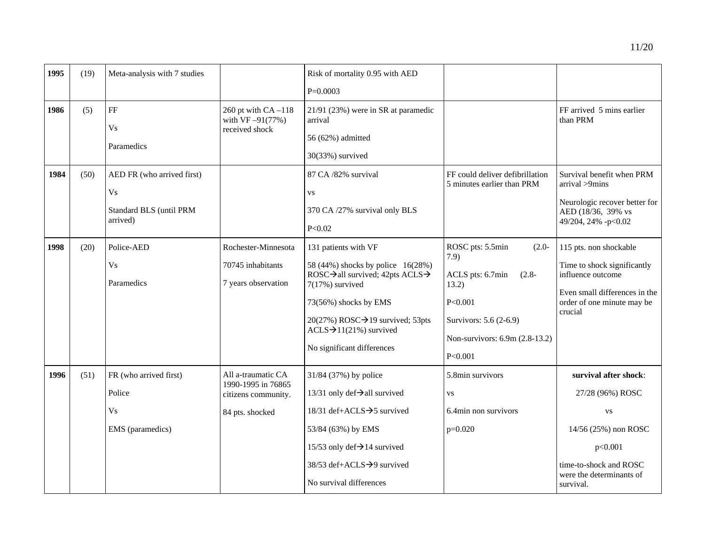| 1995 | (19) | Meta-analysis with 7 studies                                                        |                                                                                    | Risk of mortality 0.95 with AED                                                                                                                                                                                                                                |                                                                                                                                                                 |                                                                                                                                                              |
|------|------|-------------------------------------------------------------------------------------|------------------------------------------------------------------------------------|----------------------------------------------------------------------------------------------------------------------------------------------------------------------------------------------------------------------------------------------------------------|-----------------------------------------------------------------------------------------------------------------------------------------------------------------|--------------------------------------------------------------------------------------------------------------------------------------------------------------|
|      |      |                                                                                     |                                                                                    | $P=0.0003$                                                                                                                                                                                                                                                     |                                                                                                                                                                 |                                                                                                                                                              |
| 1986 | (5)  | $\rm FF$                                                                            | 260 pt with $CA-118$<br>with $VF - 91(77%)$                                        | 21/91 (23%) were in SR at paramedic<br>arrival                                                                                                                                                                                                                 |                                                                                                                                                                 | FF arrived 5 mins earlier<br>than PRM                                                                                                                        |
|      |      | <b>Vs</b><br>Paramedics                                                             | received shock                                                                     | 56 (62%) admitted<br>30(33%) survived                                                                                                                                                                                                                          |                                                                                                                                                                 |                                                                                                                                                              |
| 1984 | (50) | AED FR (who arrived first)<br>V <sub>S</sub><br>Standard BLS (until PRM<br>arrived) |                                                                                    | 87 CA /82% survival<br><b>VS</b><br>370 CA /27% survival only BLS<br>P<0.02                                                                                                                                                                                    | FF could deliver defibrillation<br>5 minutes earlier than PRM                                                                                                   | Survival benefit when PRM<br>arrival >9mins<br>Neurologic recover better for<br>AED (18/36, 39% vs<br>49/204, 24% -p<0.02                                    |
| 1998 | (20) | Police-AED<br>V <sub>s</sub><br>Paramedics                                          | Rochester-Minnesota<br>70745 inhabitants<br>7 years observation                    | 131 patients with VF<br>58 (44%) shocks by police 16(28%)<br>ROSC→all survived; 42pts ACLS→<br>7(17%) survived<br>73(56%) shocks by EMS<br>20(27%) ROSC $\rightarrow$ 19 survived; 53pts<br>$ACLS \rightarrow 11(21\%)$ survived<br>No significant differences | ROSC pts: 5.5min<br>$(2.0 -$<br>7.9)<br>ACLS pts: 6.7min<br>$(2.8 -$<br>13.2)<br>P<0.001<br>Survivors: 5.6 (2-6.9)<br>Non-survivors: 6.9m (2.8-13.2)<br>P<0.001 | 115 pts. non shockable<br>Time to shock significantly<br>influence outcome<br>Even small differences in the<br>order of one minute may be<br>crucial         |
| 1996 | (51) | FR (who arrived first)<br>Police<br><b>Vs</b><br>EMS (paramedics)                   | All a-traumatic CA<br>1990-1995 in 76865<br>citizens community.<br>84 pts. shocked | 31/84 (37%) by police<br>13/31 only def→all survived<br>18/31 def+ACLS→5 survived<br>53/84 (63%) by EMS<br>15/53 only def $\rightarrow$ 14 survived<br>38/53 def+ACLS→9 survived<br>No survival differences                                                    | 5.8min survivors<br><b>VS</b><br>6.4min non survivors<br>$p=0.020$                                                                                              | survival after shock:<br>27/28 (96%) ROSC<br><b>VS</b><br>14/56 (25%) non ROSC<br>p<0.001<br>time-to-shock and ROSC<br>were the determinants of<br>survival. |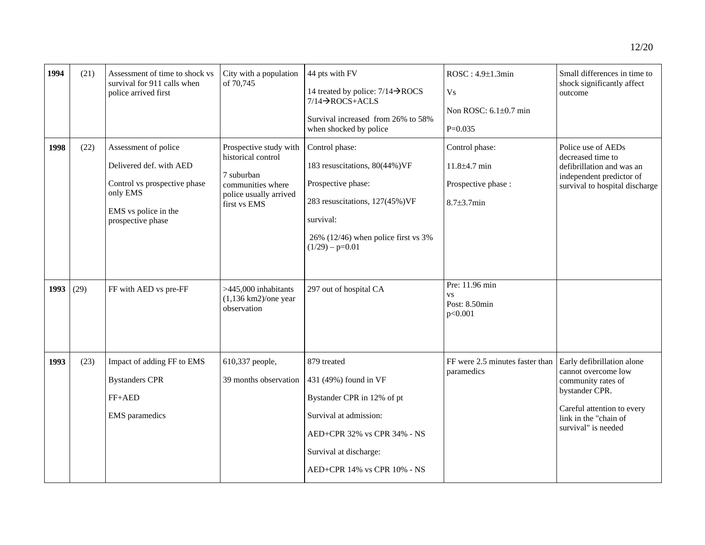| 44 pts with FV                                                                  | $ROSC: 4.9\pm1.3$ min     | Small differences in time to<br>shock significantly affect<br>outcome                                                                                                  |  |
|---------------------------------------------------------------------------------|---------------------------|------------------------------------------------------------------------------------------------------------------------------------------------------------------------|--|
| 14 treated by police: $7/14 \rightarrow ROCS$<br>$7/14 \rightarrow ROCS + ACLS$ | Vs.                       |                                                                                                                                                                        |  |
| Survival increased from 26% to 58%                                              | Non ROSC: $6.1\pm0.7$ min |                                                                                                                                                                        |  |
| when shocked by police                                                          | $P=0.035$                 |                                                                                                                                                                        |  |
| Control phase:                                                                  | Control phase:            | Police use of AEDs                                                                                                                                                     |  |
| 183 resuscitations, 80(44%)VF                                                   | $11.8 + 4.7$ min          | decreased time to<br>defibrillation and was an<br>$\mathbf{1}$ $\mathbf{1}$ $\mathbf{1}$ $\mathbf{1}$ $\mathbf{1}$ $\mathbf{1}$ $\mathbf{1}$ $\mathbf{1}$ $\mathbf{1}$ |  |

| 1998 | (22) | police arrived first<br>Assessment of police                                                                     | Prospective study with                                                                          | 14 treated by police: $7/14 \rightarrow ROCS$<br>$7/14 \rightarrow$ ROCS+ACLS<br>Survival increased from 26% to 58%<br>when shocked by police<br>Control phase:                      | <b>Vs</b><br>Non ROSC: 6.1±0.7 min<br>$P=0.035$<br>Control phase: | outcome<br>Police use of AEDs                                                                                                                                           |
|------|------|------------------------------------------------------------------------------------------------------------------|-------------------------------------------------------------------------------------------------|--------------------------------------------------------------------------------------------------------------------------------------------------------------------------------------|-------------------------------------------------------------------|-------------------------------------------------------------------------------------------------------------------------------------------------------------------------|
|      |      | Delivered def. with AED<br>Control vs prospective phase<br>only EMS<br>EMS vs police in the<br>prospective phase | historical control<br>7 suburban<br>communities where<br>police usually arrived<br>first vs EMS | 183 resuscitations, 80(44%)VF<br>Prospective phase:<br>283 resuscitations, 127(45%)VF<br>survival:<br>26% (12/46) when police first vs $3\%$<br>$(1/29) - p=0.01$                    | $11.8 + 4.7$ min<br>Prospective phase :<br>$8.7 + 3.7$ min        | decreased time to<br>defibrillation and was an<br>independent predictor of<br>survival to hospital discharge                                                            |
| 1993 | (29) | FF with AED vs pre-FF                                                                                            | $>445,000$ inhabitants<br>$(1,136$ km2)/one year<br>observation                                 | 297 out of hospital CA                                                                                                                                                               | Pre: 11.96 min<br><b>VS</b><br>Post: 8.50min<br>p<0.001           |                                                                                                                                                                         |
| 1993 | (23) | Impact of adding FF to EMS<br><b>Bystanders CPR</b><br>FF+AED<br><b>EMS</b> paramedics                           | 610,337 people,<br>39 months observation                                                        | 879 treated<br>431 (49%) found in VF<br>Bystander CPR in 12% of pt<br>Survival at admission:<br>AED+CPR 32% vs CPR 34% - NS<br>Survival at discharge:<br>AED+CPR 14% vs CPR 10% - NS | FF were 2.5 minutes faster than<br>paramedics                     | Early defibrillation alone<br>cannot overcome low<br>community rates of<br>bystander CPR.<br>Careful attention to every<br>link in the "chain of<br>survival" is needed |

**1994** | (21) Assessment of time to shock vs

survival for 911 calls when

City with a population

of 70,745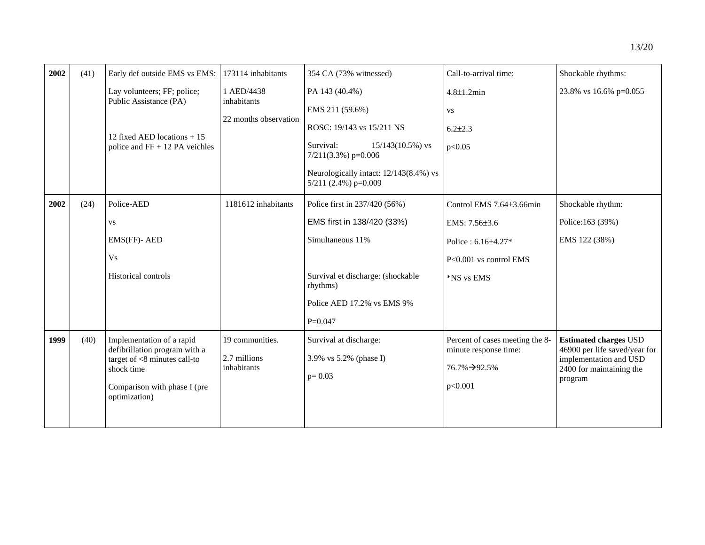| 2002 | (41) | Early def outside EMS vs EMS:                                                                                                                                | 173114 inhabitants                                 | 354 CA (73% witnessed)                                                                                                                                                                                  | Call-to-arrival time:                                                                                            | Shockable rhythms:                                                                                                             |
|------|------|--------------------------------------------------------------------------------------------------------------------------------------------------------------|----------------------------------------------------|---------------------------------------------------------------------------------------------------------------------------------------------------------------------------------------------------------|------------------------------------------------------------------------------------------------------------------|--------------------------------------------------------------------------------------------------------------------------------|
|      |      | Lay volunteers; FF; police;<br>Public Assistance (PA)<br>12 fixed AED locations $+15$<br>police and $FF + 12 PA$ veichles                                    | 1 AED/4438<br>inhabitants<br>22 months observation | PA 143 (40.4%)<br>EMS 211 (59.6%)<br>ROSC: 19/143 vs 15/211 NS<br>Survival:<br>$15/143(10.5\%)$ vs<br>$7/211(3.3\%)$ p=0.006<br>Neurologically intact: 12/143(8.4%) vs                                  | $4.8 \pm 1.2$ min<br><b>VS</b><br>$6.2{\pm}2.3$<br>p<0.05                                                        | 23.8% vs 16.6% p=0.055                                                                                                         |
| 2002 | (24) | Police-AED<br><b>VS</b><br>EMS(FF)- AED<br><b>Vs</b><br>Historical controls                                                                                  | 1181612 inhabitants                                | $5/211$ (2.4%) p=0.009<br>Police first in 237/420 (56%)<br>EMS first in 138/420 (33%)<br>Simultaneous 11%<br>Survival et discharge: (shockable<br>rhythms)<br>Police AED 17.2% vs EMS 9%<br>$P = 0.047$ | Control EMS 7.64±3.66min<br>EMS: 7.56±3.6<br>Police: $6.16 \pm 4.27$ *<br>$P<0.001$ vs control EMS<br>*NS vs EMS | Shockable rhythm:<br>Police:163 (39%)<br>EMS 122 (38%)                                                                         |
| 1999 | (40) | Implementation of a rapid<br>defibrillation program with a<br>target of $< 8$ minutes call-to<br>shock time<br>Comparison with phase I (pre<br>optimization) | 19 communities.<br>2.7 millions<br>inhabitants     | Survival at discharge:<br>3.9% vs 5.2% (phase I)<br>$p=0.03$                                                                                                                                            | Percent of cases meeting the 8-<br>minute response time:<br>76.7%→92.5%<br>p<0.001                               | <b>Estimated charges USD</b><br>46900 per life saved/year for<br>implementation and USD<br>2400 for maintaining the<br>program |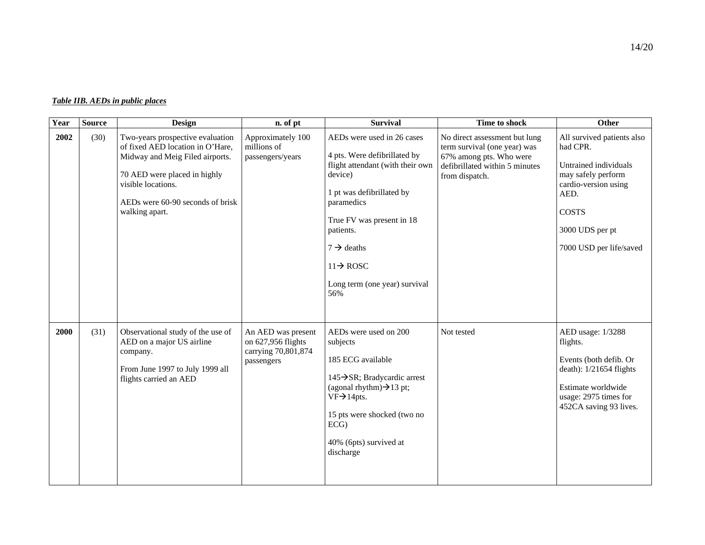| Table IIB. AEDs in public places |  |  |
|----------------------------------|--|--|
|                                  |  |  |

| Year | <b>Source</b> | <b>Design</b>                                                                                                                                                                                                       | n. of pt                                                                      | <b>Survival</b>                                                                                                                                                                                                                                                                                  | Time to shock                                                                                                                                | Other                                                                                                                                                                               |
|------|---------------|---------------------------------------------------------------------------------------------------------------------------------------------------------------------------------------------------------------------|-------------------------------------------------------------------------------|--------------------------------------------------------------------------------------------------------------------------------------------------------------------------------------------------------------------------------------------------------------------------------------------------|----------------------------------------------------------------------------------------------------------------------------------------------|-------------------------------------------------------------------------------------------------------------------------------------------------------------------------------------|
| 2002 | (30)          | Two-years prospective evaluation<br>of fixed AED location in O'Hare,<br>Midway and Meig Filed airports.<br>70 AED were placed in highly<br>visible locations.<br>AEDs were 60-90 seconds of brisk<br>walking apart. | Approximately 100<br>millions of<br>passengers/years                          | AEDs were used in 26 cases<br>4 pts. Were defibrillated by<br>flight attendant (with their own<br>device)<br>1 pt was defibrillated by<br>paramedics<br>True FV was present in 18<br>patients.<br>$7 \rightarrow$ deaths<br>$11 \rightarrow \text{ROSC}$<br>Long term (one year) survival<br>56% | No direct assessment but lung<br>term survival (one year) was<br>67% among pts. Who were<br>defibrillated within 5 minutes<br>from dispatch. | All survived patients also<br>had CPR.<br>Untrained individuals<br>may safely perform<br>cardio-version using<br>AED.<br><b>COSTS</b><br>3000 UDS per pt<br>7000 USD per life/saved |
| 2000 | (31)          | Observational study of the use of<br>AED on a major US airline<br>company.<br>From June 1997 to July 1999 all<br>flights carried an AED                                                                             | An AED was present<br>on 627,956 flights<br>carrying 70,801,874<br>passengers | AEDs were used on 200<br>subjects<br>185 ECG available<br>145→SR; Bradycardic arrest<br>(agonal rhythm) $\rightarrow$ 13 pt;<br>$VF \rightarrow 14pts.$<br>15 pts were shocked (two no<br>ECG<br>40% (6pts) survived at<br>discharge                                                             | Not tested                                                                                                                                   | AED usage: 1/3288<br>flights.<br>Events (both defib. Or<br>death): $1/21654$ flights<br>Estimate worldwide<br>usage: 2975 times for<br>452CA saving 93 lives.                       |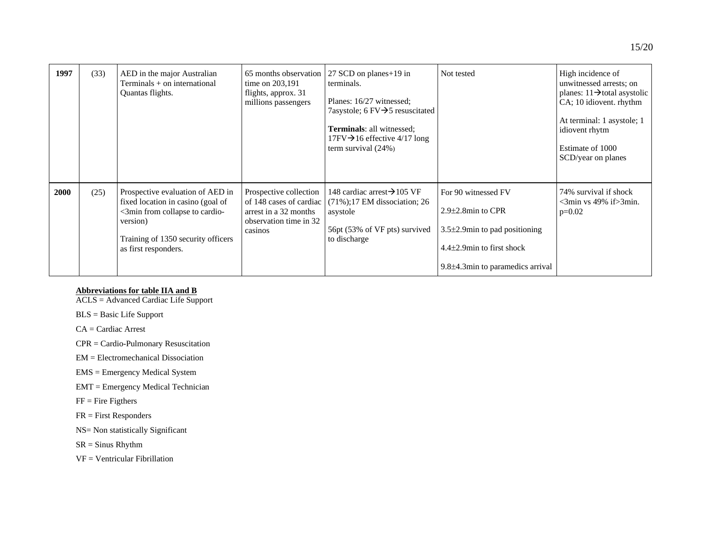| 1997 | (33) | AED in the major Australian<br>Terminals + on international<br>Quantas flights.                                                                                                   | 65 months observation<br>time on $203,191$<br>flights, approx. 31<br>millions passengers                        | 27 SCD on planes + 19 in<br>terminals.<br>Planes: 16/27 witnessed;<br>7asystole; 6 FV $\rightarrow$ 5 resuscitated<br><b>Terminals: all witnessed;</b><br>$17FV \rightarrow 16$ effective 4/17 long<br>term survival $(24%)$ | Not tested                                                                                                                                                     | High incidence of<br>unwitnessed arrests; on<br>planes: $11 \rightarrow$ total asystolic<br>CA; 10 idiovent. rhythm<br>At terminal: 1 asystole; 1<br>idiovent rhytm<br>Estimate of 1000<br>SCD/year on planes |
|------|------|-----------------------------------------------------------------------------------------------------------------------------------------------------------------------------------|-----------------------------------------------------------------------------------------------------------------|------------------------------------------------------------------------------------------------------------------------------------------------------------------------------------------------------------------------------|----------------------------------------------------------------------------------------------------------------------------------------------------------------|---------------------------------------------------------------------------------------------------------------------------------------------------------------------------------------------------------------|
| 2000 | (25) | Prospective evaluation of AED in<br>fixed location in casino (goal of<br><3min from collapse to cardio-<br>version)<br>Training of 1350 security officers<br>as first responders. | Prospective collection<br>of 148 cases of cardiac<br>arrest in a 32 months<br>observation time in 32<br>casinos | 148 cardiac arrest $\rightarrow$ 105 VF<br>$(71\%)$ ; 17 EM dissociation; 26<br>asystole<br>56pt (53% of VF pts) survived<br>to discharge                                                                                    | For 90 witnessed FV<br>$2.9\pm2.8$ min to CPR<br>$3.5\pm2.9$ min to pad positioning<br>$4.4\pm2.9$ min to first shock<br>$9.8\pm4.3$ min to paramedics arrival | 74% survival if shock<br>$\leq$ 3min vs 49% if $\geq$ 3min.<br>$p=0.02$                                                                                                                                       |

**Abbreviations for table IIA and B** ACLS = Advanced Cardiac Life Support

BLS = Basic Life Support

CA = Cardiac Arrest

CPR = Cardio-Pulmonary Resuscitation

EM = Electromechanical Dissociation

EMS = Emergency Medical System

EMT = Emergency Medical Technician

 $FF = Fire Figures$ 

FR = First Responders

NS= Non statistically Significant

SR = Sinus Rhythm

VF = Ventricular Fibrillation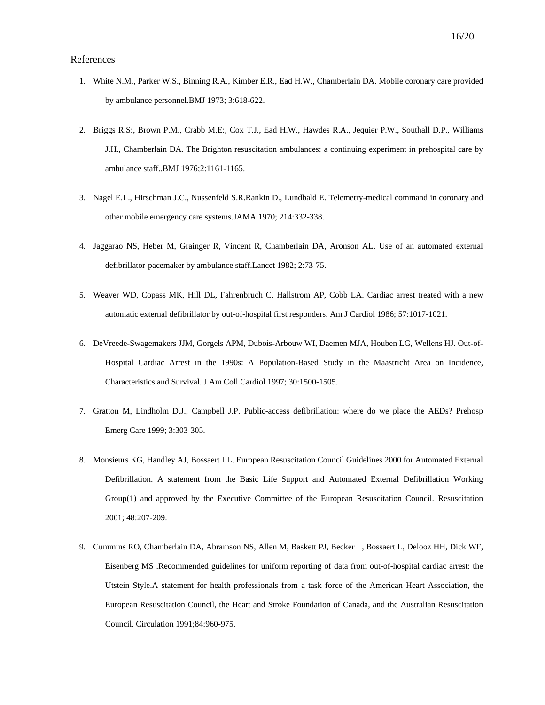### References

- 1. White N.M., Parker W.S., Binning R.A., Kimber E.R., Ead H.W., Chamberlain DA. Mobile coronary care provided by ambulance personnel.BMJ 1973; 3:618-622.
- 2. Briggs R.S:, Brown P.M., Crabb M.E:, Cox T.J., Ead H.W., Hawdes R.A., Jequier P.W., Southall D.P., Williams J.H., Chamberlain DA. The Brighton resuscitation ambulances: a continuing experiment in prehospital care by ambulance staff..BMJ 1976;2:1161-1165.
- 3. Nagel E.L., Hirschman J.C., Nussenfeld S.R.Rankin D., Lundbald E. Telemetry-medical command in coronary and other mobile emergency care systems.JAMA 1970; 214:332-338.
- 4. Jaggarao NS, Heber M, Grainger R, Vincent R, Chamberlain DA, Aronson AL. Use of an automated external defibrillator-pacemaker by ambulance staff.Lancet 1982; 2:73-75.
- 5. Weaver WD, Copass MK, Hill DL, Fahrenbruch C, Hallstrom AP, Cobb LA. Cardiac arrest treated with a new automatic external defibrillator by out-of-hospital first responders. Am J Cardiol 1986; 57:1017-1021.
- 6. DeVreede-Swagemakers JJM, Gorgels APM, Dubois-Arbouw WI, Daemen MJA, Houben LG, Wellens HJ. Out-of-Hospital Cardiac Arrest in the 1990s: A Population-Based Study in the Maastricht Area on Incidence, Characteristics and Survival. J Am Coll Cardiol 1997; 30:1500-1505.
- 7. Gratton M, Lindholm D.J., Campbell J.P. Public-access defibrillation: where do we place the AEDs? Prehosp Emerg Care 1999; 3:303-305.
- 8. Monsieurs KG, Handley AJ, Bossaert LL. European Resuscitation Council Guidelines 2000 for Automated External Defibrillation. A statement from the Basic Life Support and Automated External Defibrillation Working Group(1) and approved by the Executive Committee of the European Resuscitation Council. Resuscitation 2001; 48:207-209.
- 9. Cummins RO, Chamberlain DA, Abramson NS, Allen M, Baskett PJ, Becker L, Bossaert L, Delooz HH, Dick WF, Eisenberg MS .Recommended guidelines for uniform reporting of data from out-of-hospital cardiac arrest: the Utstein Style.A statement for health professionals from a task force of the American Heart Association, the European Resuscitation Council, the Heart and Stroke Foundation of Canada, and the Australian Resuscitation Council. Circulation 1991;84:960-975.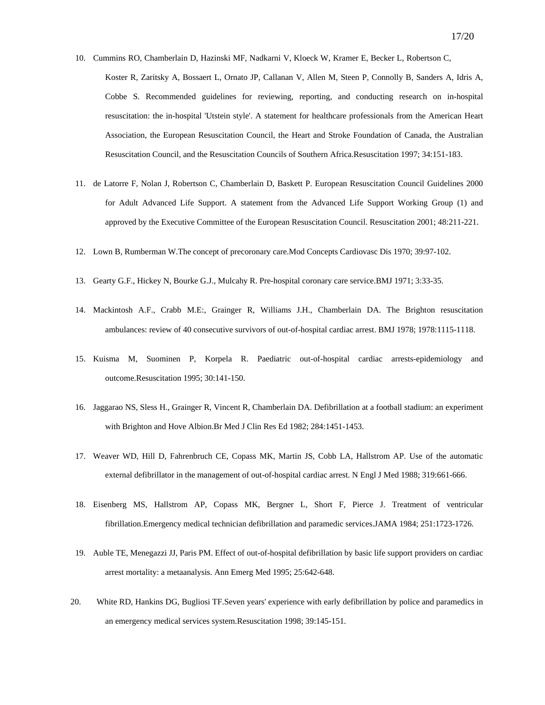- 10. Cummins RO, Chamberlain D, Hazinski MF, Nadkarni V, Kloeck W, Kramer E, Becker L, Robertson C, Koster R, Zaritsky A, Bossaert L, Ornato JP, Callanan V, Allen M, Steen P, Connolly B, Sanders A, Idris A, Cobbe S. Recommended guidelines for reviewing, reporting, and conducting research on in-hospital resuscitation: the in-hospital 'Utstein style'. A statement for healthcare professionals from the American Heart Association, the European Resuscitation Council, the Heart and Stroke Foundation of Canada, the Australian Resuscitation Council, and the Resuscitation Councils of Southern Africa.Resuscitation 1997; 34:151-183.
- 11. de Latorre F, Nolan J, Robertson C, Chamberlain D, Baskett P. European Resuscitation Council Guidelines 2000 for Adult Advanced Life Support. A statement from the Advanced Life Support Working Group (1) and approved by the Executive Committee of the European Resuscitation Council. Resuscitation 2001; 48:211-221.
- 12. Lown B, Rumberman W.The concept of precoronary care.Mod Concepts Cardiovasc Dis 1970; 39:97-102.
- 13. Gearty G.F., Hickey N, Bourke G.J., Mulcahy R. Pre-hospital coronary care service.BMJ 1971; 3:33-35.
- 14. Mackintosh A.F., Crabb M.E:, Grainger R, Williams J.H., Chamberlain DA. The Brighton resuscitation ambulances: review of 40 consecutive survivors of out-of-hospital cardiac arrest. BMJ 1978; 1978:1115-1118.
- 15. Kuisma M, Suominen P, Korpela R. Paediatric out-of-hospital cardiac arrests-epidemiology and outcome.Resuscitation 1995; 30:141-150.
- 16. Jaggarao NS, Sless H., Grainger R, Vincent R, Chamberlain DA. Defibrillation at a football stadium: an experiment with Brighton and Hove Albion.Br Med J Clin Res Ed 1982; 284:1451-1453.
- 17. Weaver WD, Hill D, Fahrenbruch CE, Copass MK, Martin JS, Cobb LA, Hallstrom AP. Use of the automatic external defibrillator in the management of out-of-hospital cardiac arrest. N Engl J Med 1988; 319:661-666.
- 18. Eisenberg MS, Hallstrom AP, Copass MK, Bergner L, Short F, Pierce J. Treatment of ventricular fibrillation.Emergency medical technician defibrillation and paramedic services.JAMA 1984; 251:1723-1726.
- 19. Auble TE, Menegazzi JJ, Paris PM. Effect of out-of-hospital defibrillation by basic life support providers on cardiac arrest mortality: a metaanalysis. Ann Emerg Med 1995; 25:642-648.
- 20. White RD, Hankins DG, Bugliosi TF.Seven years' experience with early defibrillation by police and paramedics in an emergency medical services system.Resuscitation 1998; 39:145-151.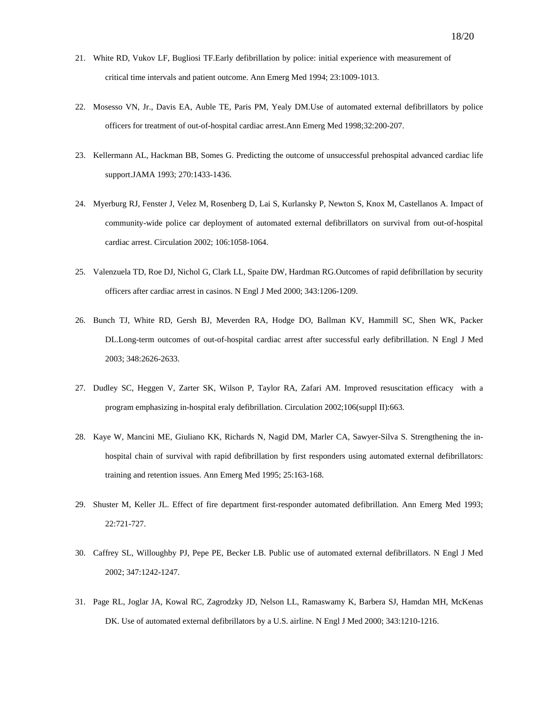- 21. White RD, Vukov LF, Bugliosi TF.Early defibrillation by police: initial experience with measurement of critical time intervals and patient outcome. Ann Emerg Med 1994; 23:1009-1013.
- 22. Mosesso VN, Jr., Davis EA, Auble TE, Paris PM, Yealy DM.Use of automated external defibrillators by police officers for treatment of out-of-hospital cardiac arrest.Ann Emerg Med 1998;32:200-207.
- 23. Kellermann AL, Hackman BB, Somes G. Predicting the outcome of unsuccessful prehospital advanced cardiac life support.JAMA 1993; 270:1433-1436.
- 24. Myerburg RJ, Fenster J, Velez M, Rosenberg D, Lai S, Kurlansky P, Newton S, Knox M, Castellanos A. Impact of community-wide police car deployment of automated external defibrillators on survival from out-of-hospital cardiac arrest. Circulation 2002; 106:1058-1064.
- 25. Valenzuela TD, Roe DJ, Nichol G, Clark LL, Spaite DW, Hardman RG.Outcomes of rapid defibrillation by security officers after cardiac arrest in casinos. N Engl J Med 2000; 343:1206-1209.
- 26. Bunch TJ, White RD, Gersh BJ, Meverden RA, Hodge DO, Ballman KV, Hammill SC, Shen WK, Packer DL.Long-term outcomes of out-of-hospital cardiac arrest after successful early defibrillation. N Engl J Med 2003; 348:2626-2633.
- 27. Dudley SC, Heggen V, Zarter SK, Wilson P, Taylor RA, Zafari AM. Improved resuscitation efficacy with a program emphasizing in-hospital eraly defibrillation. Circulation 2002;106(suppl II):663.
- 28. Kaye W, Mancini ME, Giuliano KK, Richards N, Nagid DM, Marler CA, Sawyer-Silva S. Strengthening the inhospital chain of survival with rapid defibrillation by first responders using automated external defibrillators: training and retention issues. Ann Emerg Med 1995; 25:163-168.
- 29. Shuster M, Keller JL. Effect of fire department first-responder automated defibrillation. Ann Emerg Med 1993; 22:721-727.
- 30. Caffrey SL, Willoughby PJ, Pepe PE, Becker LB. Public use of automated external defibrillators. N Engl J Med 2002; 347:1242-1247.
- 31. Page RL, Joglar JA, Kowal RC, Zagrodzky JD, Nelson LL, Ramaswamy K, Barbera SJ, Hamdan MH, McKenas DK. Use of automated external defibrillators by a U.S. airline. N Engl J Med 2000; 343:1210-1216.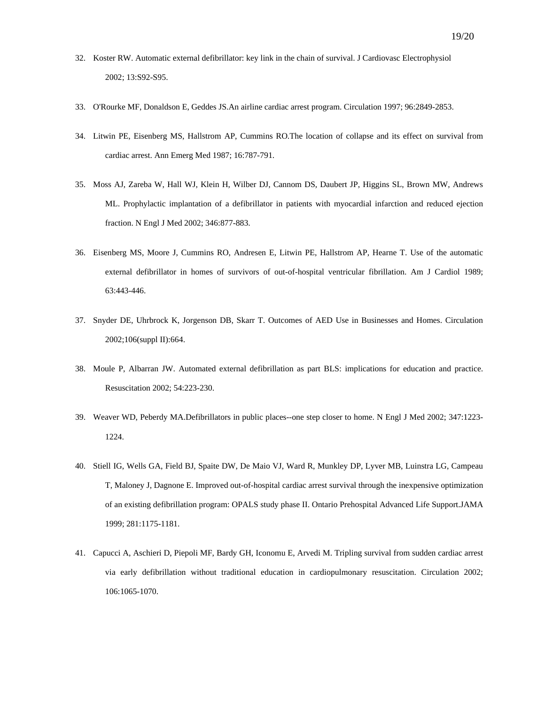- 32. Koster RW. Automatic external defibrillator: key link in the chain of survival. J Cardiovasc Electrophysiol 2002; 13:S92-S95.
- 33. O'Rourke MF, Donaldson E, Geddes JS.An airline cardiac arrest program. Circulation 1997; 96:2849-2853.
- 34. Litwin PE, Eisenberg MS, Hallstrom AP, Cummins RO.The location of collapse and its effect on survival from cardiac arrest. Ann Emerg Med 1987; 16:787-791.
- 35. Moss AJ, Zareba W, Hall WJ, Klein H, Wilber DJ, Cannom DS, Daubert JP, Higgins SL, Brown MW, Andrews ML. Prophylactic implantation of a defibrillator in patients with myocardial infarction and reduced ejection fraction. N Engl J Med 2002; 346:877-883.
- 36. Eisenberg MS, Moore J, Cummins RO, Andresen E, Litwin PE, Hallstrom AP, Hearne T. Use of the automatic external defibrillator in homes of survivors of out-of-hospital ventricular fibrillation. Am J Cardiol 1989; 63:443-446.
- 37. Snyder DE, Uhrbrock K, Jorgenson DB, Skarr T. Outcomes of AED Use in Businesses and Homes. Circulation 2002;106(suppl II):664.
- 38. Moule P, Albarran JW. Automated external defibrillation as part BLS: implications for education and practice. Resuscitation 2002; 54:223-230.
- 39. Weaver WD, Peberdy MA.Defibrillators in public places--one step closer to home. N Engl J Med 2002; 347:1223- 1224.
- 40. Stiell IG, Wells GA, Field BJ, Spaite DW, De Maio VJ, Ward R, Munkley DP, Lyver MB, Luinstra LG, Campeau T, Maloney J, Dagnone E. Improved out-of-hospital cardiac arrest survival through the inexpensive optimization of an existing defibrillation program: OPALS study phase II. Ontario Prehospital Advanced Life Support.JAMA 1999; 281:1175-1181.
- 41. Capucci A, Aschieri D, Piepoli MF, Bardy GH, Iconomu E, Arvedi M. Tripling survival from sudden cardiac arrest via early defibrillation without traditional education in cardiopulmonary resuscitation. Circulation 2002; 106:1065-1070.